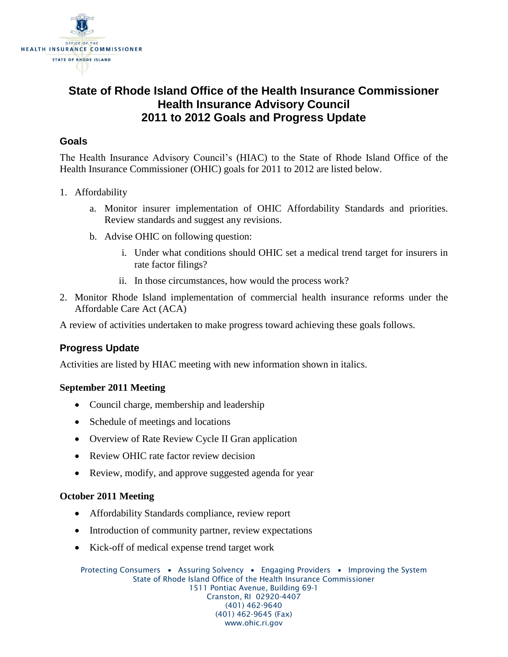

# **State of Rhode Island Office of the Health Insurance Commissioner Health Insurance Advisory Council 2011 to 2012 Goals and Progress Update**

# **Goals**

The Health Insurance Advisory Council's (HIAC) to the State of Rhode Island Office of the Health Insurance Commissioner (OHIC) goals for 2011 to 2012 are listed below.

- 1. Affordability
	- a. Monitor insurer implementation of OHIC Affordability Standards and priorities. Review standards and suggest any revisions.
	- b. Advise OHIC on following question:
		- i. Under what conditions should OHIC set a medical trend target for insurers in rate factor filings?
		- ii. In those circumstances, how would the process work?
- 2. Monitor Rhode Island implementation of commercial health insurance reforms under the Affordable Care Act (ACA)

A review of activities undertaken to make progress toward achieving these goals follows.

# **Progress Update**

Activities are listed by HIAC meeting with new information shown in italics.

#### **September 2011 Meeting**

- Council charge, membership and leadership
- Schedule of meetings and locations
- Overview of Rate Review Cycle II Gran application
- Review OHIC rate factor review decision
- Review, modify, and approve suggested agenda for year

#### **October 2011 Meeting**

- Affordability Standards compliance, review report
- Introduction of community partner, review expectations
- Kick-off of medical expense trend target work

Protecting Consumers • Assuring Solvency • Engaging Providers • Improving the System State of Rhode Island Office of the Health Insurance Commissioner 1511 Pontiac Avenue, Building 69-1 Cranston, RI 02920-4407 (401) 462-9640 (401) 462-9645 (Fax) www.ohic.ri.gov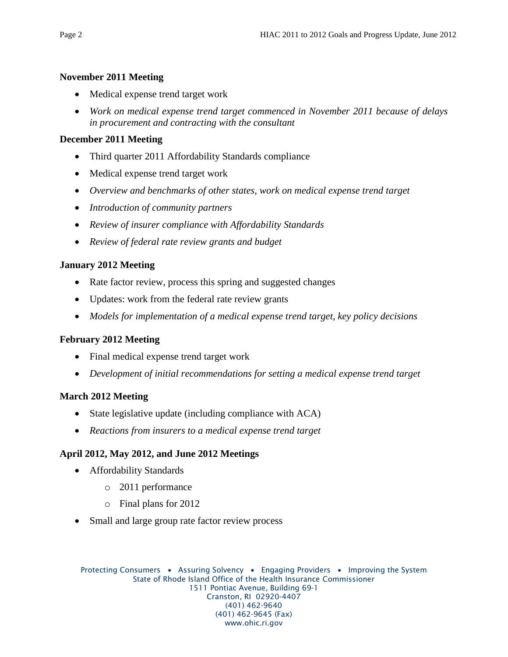#### **November 2011 Meeting**

- Medical expense trend target work
- *Work on medical expense trend target commenced in November 2011 because of delays in procurement and contracting with the consultant*

# **December 2011 Meeting**

- Third quarter 2011 Affordability Standards compliance
- Medical expense trend target work
- *Overview and benchmarks of other states, work on medical expense trend target*
- *Introduction of community partners*
- *Review of insurer compliance with Affordability Standards*
- *Review of federal rate review grants and budget*

# **January 2012 Meeting**

- Rate factor review, process this spring and suggested changes
- Updates: work from the federal rate review grants
- *Models for implementation of a medical expense trend target, key policy decisions*

#### **February 2012 Meeting**

- Final medical expense trend target work
- *Development of initial recommendations for setting a medical expense trend target*

# **March 2012 Meeting**

- State legislative update (including compliance with ACA)
- *Reactions from insurers to a medical expense trend target*

# **April 2012, May 2012, and June 2012 Meetings**

- Affordability Standards
	- o 2011 performance
	- o Final plans for 2012
- Small and large group rate factor review process

Protecting Consumers • Assuring Solvency • Engaging Providers • Improving the System State of Rhode Island Office of the Health Insurance Commissioner 1511 Pontiac Avenue, Building 69-1 Cranston, RI 02920-4407 (401) 462-9640 (401) 462-9645 (Fax) www.ohic.ri.gov